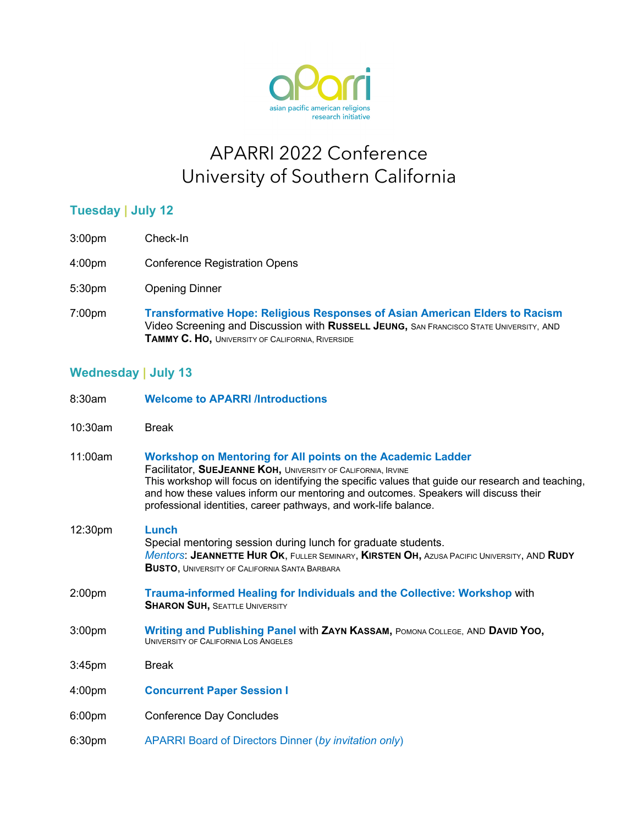

## APARRI 2022 Conference University of Southern California

## **Tuesday | July 12**

- 3:00pm Check-In
- 4:00pm Conference Registration Opens
- 5:30pm Opening Dinner
- 7:00pm **Transformative Hope: Religious Responses of Asian American Elders to Racism** Video Screening and Discussion with **RUSSELL JEUNG,** SAN FRANCISCO STATE UNIVERSITY, AND **TAMMY C. HO,** UNIVERSITY OF CALIFORNIA, RIVERSIDE

## **Wednesday | July 13**

| 8:30am             | <b>Welcome to APARRI /Introductions</b>                                                                                                                                                                                                                                                                                                                                                     |
|--------------------|---------------------------------------------------------------------------------------------------------------------------------------------------------------------------------------------------------------------------------------------------------------------------------------------------------------------------------------------------------------------------------------------|
| 10:30am            | <b>Break</b>                                                                                                                                                                                                                                                                                                                                                                                |
| 11:00am            | Workshop on Mentoring for All points on the Academic Ladder<br>Facilitator, SUEJEANNE KOH, UNIVERSITY OF CALIFORNIA, IRVINE<br>This workshop will focus on identifying the specific values that guide our research and teaching,<br>and how these values inform our mentoring and outcomes. Speakers will discuss their<br>professional identities, career pathways, and work-life balance. |
| 12:30pm            | <b>Lunch</b><br>Special mentoring session during lunch for graduate students.<br>Mentors: JEANNETTE HUR OK, FULLER SEMINARY, KIRSTEN OH, AZUSA PACIFIC UNIVERSITY, AND RUDY<br><b>BUSTO, UNIVERSITY OF CALIFORNIA SANTA BARBARA</b>                                                                                                                                                         |
| 2:00pm             | Trauma-informed Healing for Individuals and the Collective: Workshop with<br><b>SHARON SUH, SEATTLE UNIVERSITY</b>                                                                                                                                                                                                                                                                          |
| 3:00 <sub>pm</sub> | <b>Writing and Publishing Panel with ZAYN KASSAM, POMONA COLLEGE, AND DAVID YOO,</b><br>UNIVERSITY OF CALIFORNIA LOS ANGELES                                                                                                                                                                                                                                                                |
| 3:45 <sub>pm</sub> | <b>Break</b>                                                                                                                                                                                                                                                                                                                                                                                |
| 4:00pm             | <b>Concurrent Paper Session I</b>                                                                                                                                                                                                                                                                                                                                                           |
| 6:00pm             | <b>Conference Day Concludes</b>                                                                                                                                                                                                                                                                                                                                                             |
| 6:30pm             | APARRI Board of Directors Dinner (by invitation only)                                                                                                                                                                                                                                                                                                                                       |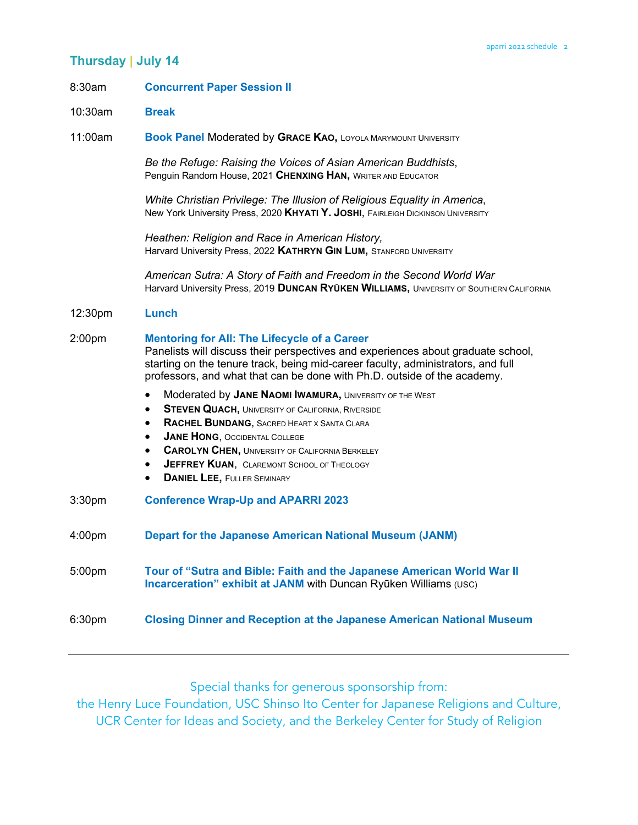### **Thursday | July 14**

#### 8:30am **Concurrent Paper Session II**

10:30am **Break** 

11:00am **Book Panel** Moderated by **GRACE KAO,** LOYOLA MARYMOUNT UNIVERSITY

*Be the Refuge: Raising the Voices of Asian American Buddhists*, Penguin Random House, 2021 **CHENXING HAN,** WRITER AND EDUCATOR

*White Christian Privilege: The Illusion of Religious Equality in America*, New York University Press, 2020 **KHYATI Y. JOSHI**, FAIRLEIGH DICKINSON UNIVERSITY

*Heathen: Religion and Race in American History,* Harvard University Press, 2022 **KATHRYN GIN LUM,** STANFORD UNIVERSITY

*American Sutra: A Story of Faith and Freedom in the Second World War* Harvard University Press, 2019 **DUNCAN RYŪKEN WILLIAMS,** UNIVERSITY OF SOUTHERN CALIFORNIA

#### 12:30pm **Lunch**

#### 2:00pm **Mentoring for All: The Lifecycle of a Career**

Panelists will discuss their perspectives and experiences about graduate school, starting on the tenure track, being mid-career faculty, administrators, and full professors, and what that can be done with Ph.D. outside of the academy.

- **Moderated by JANE NAOMI IWAMURA, UNIVERSITY OF THE WEST**
- **STEVEN QUACH, UNIVERSITY OF CALIFORNIA, RIVERSIDE**
- **RACHEL BUNDANG**, SACRED HEART X SANTA CLARA
- **JANE HONG, OCCIDENTAL COLLEGE**
- **CAROLYN CHEN, UNIVERSITY OF CALIFORNIA BERKELEY**
- **JEFFREY KUAN, CLAREMONT SCHOOL OF THEOLOGY**
- **DANIEL LEE, FULLER SEMINARY**
- 3:30pm **Conference Wrap-Up and APARRI 2023**
- 4:00pm **Depart for the Japanese American National Museum (JANM)**

5:00pm **Tour of "Sutra and Bible: Faith and the Japanese American World War II Incarceration" exhibit at JANM** with Duncan Ryūken Williams (USC)

6:30pm **Closing Dinner and Reception at the Japanese American National Museum**

Special thanks for generous sponsorship from:

the Henry Luce Foundation, USC Shinso Ito Center for Japanese Religions and Culture, UCR Center for Ideas and Society, and the Berkeley Center for Study of Religion